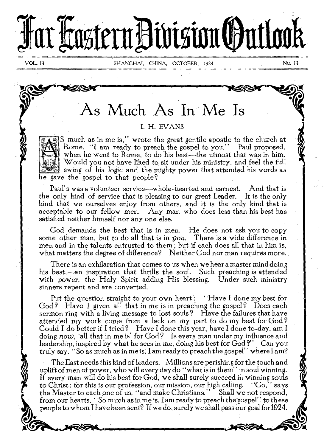# Far **Jastern Division (Intlook**

VOL 13 SHANGHAI, CHINA, OCTOBER, 1924 No. 13

# As Much As In Me Is

# I. H. EVANS

S much as in me is," wrote the great gentile apostle to the church at Rome, "I am ready to preach the gospel to you." Paul proposed, when he went to Rome, to do his best—the utmost that was in him. Would you not have liked to sit under his ministry, and feel the full swing of his logic and the mighty power that attended his words as he gave the gospel to that people?

Paul's was a volunteer service—whole-hearted and earnest. And that is the only kind of service that is pleasing to our great Leader. It is the only kind that we ourselves enjoy from others, and it is the only kind that is acceptable to our fellow men. Any man who does less than his best has satisfied neither himself nor any one else.

God demands the best that is in men. He does not ask you to copy some other man, but to do all that is in *you.* There is a wide difference in men and in the talents entrusted to them ; but if each does all that in him is, what matters the degree of difference? Neither God nor man requires more.

There is an exhilaration that comes to us when we hear a master mind doing his best,—an inspiration that thrills the soul. Such preaching is attended with power, the Holy Spirit adding His blessing. Under such ministry sinners repent and are converted.

Put the question straight to your own heart : "Have I done my best for Cod? Have I given all that in me is in preaching the gospel? Does each sermon ring with a living message to lost souls? Have the failures that have attended my work come from a lack on my part to do my best for God ? Could I do better if I tried ? Have I done this year, have I done to-day, am I doing now, 'all that in me is' for God? Is every man under my influence and leadership, inspired by what he sees in me, doing his best for God?" Can you truly say, "So as much as in me is, I am ready to preach the gospel" where  $\text{I am?}$ 

The East needs this kind of leaders. Millions are perishing for the touch and uplift of men of power, who will every day do "what is in them" in soul winning. If every man will do his best for God, we shall surely succeed in winning souls to Christ; for this is our profession, our mission, our high calling. ''Go,' says to Christ; for this is our profession, our mission, our high calling. the Master to each one of us, "and make Christians." Shall we not respond, from our hearts, "So much as in me is, I am ready to preach the-gospel" to these people to whom I have been sent? If we do, surely we shall pass our goal for1924.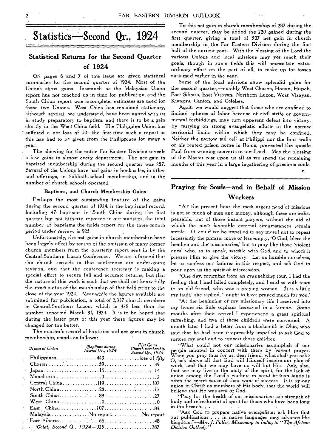# **Statistical Returns for the Second Quarter of 1924**

ON pages 6 and 7 of this issue are given statistical summaries for the second quarter of 1924. Most of the Unions show gains. Inasmuch as the Malaysian Union report has not reached us in time for publication, and the South China report was incomplete, estimates are used for these two Unions. West China has remained stationary, although several, we understand, have been united with us in study preparatory to baptism, and, there is to be a gain shortly in the West China field. The Philippine Union has suffered a net loss of 50-the first time such a report as this has had to be given from the Philippines for many a .year.

The showing for the entire Far Eastern Division reveals a few gains in almost every department. The net gain in baptized membership during the second quarter was 287. Several of the Unions have had gains in book sales, in tithes and offerings, in Sabbath-school membership, and in the number of church schools operated.

#### Baptisme, and Church Membership Gains

Perhaps the most outstanding feature of the gains during the second quarter of 1924, is the baptismal record. Including 47 baptisms in South China during the first quarter but not hitherto reported in our statistics, the total number of baptisms the fields report for the three-month period under review, is 925.

Unfortunately, the net gains in church membership have been largely offset by reason of the omission of many former church members from the quarterly report sent in by the Central-Southern Luzon Conference. We are informed that the church records in that conference are under-going revision, and that the conference secretary\_ is making a special effort to secure full and accurate returns, but that the nature of this work is such that we shall not know fully the exact status of the membership of that field prior to the close of the year 1924: Meanwhile the figures available are submitted for publication, a total of 2,337 church members in Central-Southern Luzon, which is 328 less than the number reported March 31, 1924. It is to be hoped that during the latter part of this year these figures *may* be changed for the better.

The quarter's record of baptisms and net gains in church membership, stands as follows:

| $\mathcal{N}$ ame of $Union$         |  |
|--------------------------------------|--|
|                                      |  |
|                                      |  |
|                                      |  |
|                                      |  |
|                                      |  |
|                                      |  |
|                                      |  |
|                                      |  |
|                                      |  |
| Malaysia No reportNo report          |  |
|                                      |  |
| $\sim$ Cotal, Second Q., 1924—925287 |  |

To this net gain in church membership of 287 during the  $\text{Statistics—Second } \text{ Qr.}, \text{ } 1924$  second quarter, may be added the 220 gained during the second quarter, may be added the 220 gained during the membership in the Far Eastern Division during the first half of the current year. With the blessing of the Lord the various Unions and local missions may yet reach their goals, though in some fields this will necessitate extraordinary effort on the part of all, to make up for losses sustained earlier in the year.

> Some of the local missions show splendid gains for the second quarter,—notably West Chosen, Honan, Hupeh, East Siberia, East Visayan, Northern Luzon, West Visayan, Kiangsu, Canton, and Celebes.

> Again we would suggest that those who are confined to limited spheres of labor because of civil strife or governmental forbiddings, may turn apparent defeat into victory, by carrying on strong evangelistic efforts in the narrow territorial limits within which they may be confined. Neither the narrow jail cell at Philippi nor the four walls of his rented prison home in Rome, prevented the apostle Paul from winning converts to our Lord. May the blessing of the Master rest upon us all as we spend the remaining months of this year in a large ingathering of precious souls.

# **Praying for Souls—and in Behalf of Mission Workers**

C.

"AT the present hour the most urgent need of missions is not so much of men and money, although these are indispensable, but of those instant prayers, without the aid of which the most favorable external circumstances remain sterile. 0, could we be impelled to say more! not to repeat incessantly the phrase, more or less empty, '0 God, bless the heathen and the missionaries,' but to pray like those 'violent ones' who, so to speak, wrestle with God, and to whom it pleases Him to give the victory. Let us humble ourselves, let us confess our failures in this respect, and ask God to pour upon us the spirit of intercession.

"One day, returning from an evangelizing tour, I had the feeling that I had failed completely, and I said so with tears to an old friend, who was a praying woman. It is a little my fault,' she replied, 'I ought to have prayed much for you.'

"At the beginning of my missionary *life* I received into my home six little orphans bereaved in a famine. Some months after their arrival I experienced a great spiritual refreshing, and five of these childrdn were converted. A month later I had a letter from a blacksmith in Ohio, who said that he had been irrepressibly impelled to ask God to restore my soul and to convert those children.

"What could not our missionaries accomplish if our people labored in concert with them -by fervent prayer. When you pray thus for us, dear friend, what shall you ask? 0, ask above all that God will Himself inspire our plan of work, and that we may have no will but His. Ask, also, that we may live' in the unity of the spirit, for the lack of union among the Lord's workers in non-Christian lands is often the secret cause of their want of success. It is by our union in Christ as members of His body, that the world will believe that He was sent of God.

"Pray for the health of our missionaries; ask strength of body and refreshment of spirit for those who have been long in the breach...

"Ask God to prepare native evangelists; ask Him that our publications . . . in native languages may advance His kingdom."—Mrs. *J. Fuller, Missionary in India, in "The African Division Outlook,"*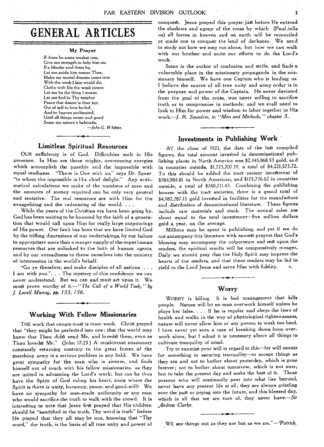# **GENERAL ARTICLES**

#### My Prayer

If there be some weaker one, Give me strength to help him on: If a blinder soul there be, Let me guide him nearer Thee. Make my mortal dreams come true With the work *I fain* would do: Clothe with *life* the weak intent: Let me be the thing I meant. Let me find in Thy employ Peace that dearer is than joy: Out of self to love be led, And to heaven acclimated, Until all things sweet and good Seem my nature's habitude. *—John G. Whittier.* 

**Limitless Spiritual Resources** 

OUR sufficiency is of God. Difficulties melt in His presence. In Him are those mighty, overcoming energies which accomplish the possible and the impossible with equal readiness. "There is One with us," says Dr. Speer "to whom the impossible is His chief delight." Any arithmetical calculations we make of the numbers of men and the amounts of money required can be only very general and tentative. The real resources are with Him for the evangelizing and the redeeming of the world. . . .

While the years of the Christian era have been going by, God has been waiting to be honored by the faith of a generation that would call upon Him for really large outpourings of His power. Our fault has been that we have limited God by the trifling dimensions of our undertakings, by our failure to appropriate more than a meager supply of the superhuman resources that are unlocked to the faith of human agents, and by our unreadiness to throw ourselves into the ministry of *intercession in* the world's behalf.

"Go ye therefore, and make disciples of all nations. . . . I am with you.". . . The mystery of this confidence we can never understand. But we can and must act upon it. We mutt prove worthy of *it.—"The Call of a World Task," by J. Lovell Murray, pp. 155, 156.* 

#### **Working With Fellow Missionaries**

THE work that counts most is team work. Christ prayed that "they might be perfected into one; that the world may know that Thou didst send Me, and lovedst them, even as Thou lovedgt Me." (John 17:23) A recalcitrant missionary constantly returning contrary to the great forces of the marching army is a serious problem in any field. We have great sympathy for the man who is sincere, and finds himself out of touch with his fellow missionaries, as they are united in advancing the Lord's work; but can he thus have the Spirit of God ruling his heart, since where the Spirit is there is unity, harmony, peace, and good-will? We have no sympathy for man-made uniformity or any man who would sacrifice the truth to walk with the crowd. It is interesting to note that Jesus first prayed that His children should be "sanctified in the truth, Thy word is truth" before He prayed that they all may be one, knowing that "Thy word," the 'truth, is the basis of all true unity and power of

conquest. Jesus prayed this prayer just before He entered the shadows and agony of the cross by which (Paul tells us) all forces in heaven and on earth will be reconciled or made one to conquer the land of darkness. We need to study not how we may run alone, but how we can walk with our brother -and unite our efforts to do the Lord's work.

Satan is the author of confusion and strife, and finds a vulnerable place in the missionary propaganda in the missionary himself. We have one Captain who is leading us. I believe the source of all true unity and army order is in the purpose and power of the Captain. He never deviatedfrom the goal of the cross, was never willing to sacrifice truth or to compromise in methods; and we shall need to look to Him for power and wisdom to labor together in His work.—J. *R. Saunders; in "Men and Methods," chapter 5.* 

## **Investments in Publishing Work**

AT the close of 1921, the date of the last compiled figures, the total amount invested in denominational publishing plants in North America was \$2,445,868.53 gold, and in countries outside, \$1,775,707.19, a total of \$4,221,575.72. To this should be added the tract society invegtment of \$584,984.81 in North American, and \$175,726.62 in countries outside, a total of \$760,711.43. Combining the publishing houses with the tract societies, there is a grand total of \$4,982,287.15 gold invested in facilities for the manufacture and distribution of denominational literature. These figures include raw materials and stock. The annual sales are about equal to the total investment—five million dollars gold a year, on the average.

Millions may be spent in publishing, and yet if we do not accompany this literature with earnest prayers that God's blessing may accompany the colporteurs and rest upon the readers, the spiritual results will be comparatively meager. Daily we should pray that the Holy Spirit may impress the hearts of the readers, and that these readers may be led to yield to the Lord Jesus and serve Him with fidelity. c.

## **Worry**

WORRY is killing. It is bad management that kills people. Nature will let no man overwork himself unless he plays her false. . . If he is regular and obeys the laws of health and walks in the way of physiological righteousness, nature will never allow him or any person to work too hard. I have never yet seen a case of breaking down from overwork alone, but I admit it *is* necessary above all things to cultivate tranquility of mind.

Try to exercise your will in regard to this—for will counts for something in securing tranquility—to accept things as they are and not to bother about yesterday, which is gone forever; not to bother about tomorrow, which is not ours; but to take the present day and make the best of it. Those persons who will continually peer into what lies beyond, never have any present life at all; they are always grizzling over the past or prying into the future, and this blessed day, which is all that we are sure of, they never have.--Sir *Andrew Clarke.* 

WE see things not as they are but as we *are."—Patrick.*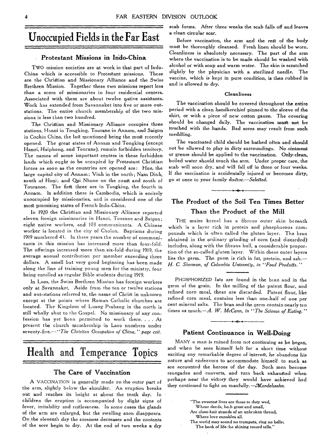# Unoccupied Fields in the Far East

## Protestant Missions in Indo-China

TWO mission societies are at work in that part of Indo-China which is accessible to Protestant missions. These are the Christian and Missionary Alliance and the Swiss Brethren Mission. Together these two missions report less than a score of missionaries in four residential centers. Associated with them are about twelve native assistants. Work has, extended from Savannaket into five or more outstations. The entire church membership of the two missions is less than two hundred.

The Christian and Missionary Alliance occupies three stations, Hanoi in Tongking, Tourane in Annam, and Saigon in Cochin China, the last mentioned being the most recently opened. The great states of Annam and Tongking (except Hanoi, Haiphong, and Tourane), remain forbidden territory. The names of some important centers in these forbidden lands which ought to be occupied by Protestant Christian forces as soon as the countries are opened are: Hue, the large capital city of Annam; Vinh in the north; Nam Dinh, south of Hani; and Qui Nhone on the coast and south of Touranoe. The first three are in Tongking, the fourth in Annam. In addition there is Cambodia, which is entirely unoccupied by missionaries, and is considered one of the most promising states of French Indo-China.

In 1920 the Christian and Missionary Alliance reported eleven foreign missionaries in Hanoi, Tourane and Saigon; eight native workers, and 103 communicants. A Chinese worker is located in the city of Cholon. Baptisms during 1919 numbered 43. In three years the number of communicants in this mission has increased more than four-fold. The offerings increased more than six-fold during 1919, the average annual contribution per member exceeding three dollars. A small but very good beginning has been made along the line of training young men for the ministry, four being enrolled as regular Bible students during 1919.

In Laos, the Swiss Brethren Mission has foreign workers only at Savannaket. Aside from the ten or twelve stations and out-stations referred to, the name of Christ in unknown except at the points where Roman Catholic churches are located. The Kingdom of Luang Prabang in the north is still wholly shut to the Gospel. No missionary of any confession has yet been permitted to work there. . . . At present the church membership in Laos numbers under seventy-five.--"The Christian Occupation of China," page cvii.

# Health and Temperance Topics

## The Care of Vaccination

A VACCINATION is generally made on the outer part of the arm, slightly below the shoulder. An eruption breaks out and reaches its height at about the tenth day. In children the eruption is accompanied by slight signs of fever, irritability and restlessness. In some cases the glands of the arm are enlarged, but the swelling soon disappears. On the eleventh day the soreness decreases and the contents of the sore begin to dry. At the end of two weeks a dry scab forms. After three weeks the scab falls off and leaves a clean circular scar.

Before vaccination, the arm and the rest of the body must be thoroughly cleansed. Fresh linen should be worn. Cleanliness is absolutely necessary. The part of the arm where the vaccination is to be made should be washed with alcohol or with soap and warm water. The skin is scratched slightly by the physician with a sterilized needle. The vaccine, which is kept in pure condition, is then rubbed in and is allowed to dry.

#### Cleanliness

The vaccination should be covered throughout the entire period with a clean handkerchief pinned to the sleeve of the shirt, or with a piece of new cotton gauze. The covering should be changed daily. The vaccination must not be touched with the hands. Bad sores may result from such meddling.

The vaccinated child should be bathed often and should not be allowed to play in dirty surroundings. No ointment or grease should be applied to the vaccination. Only-clean, boiled water should touch the arm. Under proper care, the scab will soon dry, and will fall off in three or four weeks. If the vaccination is accidentally injured or becomes dirty, go at once to your family *doctor.—SeleCted.* 

# The Product of the Soil Ten Times Better Than the Product of the Mill

THE maize kernel has a fibrous outer skin beneath which is a layer rich in protein and phosphorous compounds which is often called the gluten layer. The bran obtained in the ordinary grinding of corn (and discarded) includes, along with the fibrous hull, a considerable propostion of the so-called gluten layer. Within these outer layers lies the germ. The germ is rich in fat, protein, and ash.— H. C. Sherman, of Columbia University, in "Food Products."

PHOSPHORIZED fats are found in the bian and in the germ of the grain. In the milling of the patent flour, and refined corn meal, these are discarded. Patent flour, like refined corn meal, contains less than one-half of one per cent mineral salts. The bran and the germ contain nearly ten times as much.—A. *W. McCann, in "The Science of Eating."* 

## Patient Continuance in Well-Doing

MANY a man is ruined from not continuing as he began, and when he sees himself left for a short time without exciting any remarkable degree of interest, he abandons his nature and endeavors to accommodate himself, to such as are accounted the heroes of the day. Such men become renegades and converts, and turn back exhausted when perhaps near the victory they would have achieved had they continued to fight on manfully.-*Mendelssohn*.

"The sweetest lives are those to duty wed,

Whose deeds, both great and small,

Are close-knit strands of an unbroken thread, Where love ennobles all.

The world may sound no trumpets, *ring* no bells;

The book of life :he shining record tells."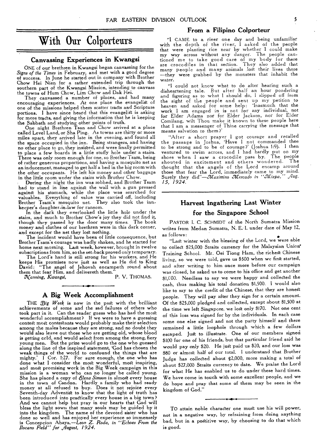# With Our Colporteurs

#### **Canvassing Experiences in Kwangsi**

ONE of our brethren in Kwangsi began canvassing for the *Signs of the Times* in February, and met with a good degree of success. In June he started out in company with Brother Chow Hei Nien for a rather extended trip through the southern part of the Kwangsi Mission, intending to canvass the towns of Hum Chow, Lim Chow and Dak Hei.

They canvassed a number of places, and had many encouraging experiences. At one place the evangelist of one of the missions helped them scatter tracts and Scripture portions. I have since heard that this evangelist is asking for more tracts, and giving the information that he is keeping the Sabbath and studying other points of truth. One night Brethren Tsan and Chow arrived at a place

called Level Land, or Sha Ping. As towns are thirty or more miles apart, they arrived late in the evening, and found all the space occupied in the inn. Being strangers, and having no other place to go, they insisted, and were finally permitted to place a few boards in a little stuffy hole under a stairs. There was only room enough for one, so Brother Tsam, being of rather generous proportions, and having a mosquito net as an inducement, managed to get half a bed in the big room with the other occupants. He left his money and other baggage in the little room under the stairs with Brother Chow.

During the night the inn was robbed, and Brother Tsam had to stand in line against the wall with a gun pressed against his stomach, while the place was searched for valuables. Everything of value was carried off, including Brother Tsam's mosquito net. They also took the innkeeper's daughter-in-law for ransom.

In the dark they overlooked the little hole under the stairs, and much to Brother Chow's joy they did not find it, though they passed by the door many times. The book money and clothes of our brethren were in this dark corner, and except for the net they lost nothing.

The incident would have been of little consequence, but Brother Tsam's courage was badly shaken, and he started for home next morning. Last week, however, brought in twelve subscriptions from him, so the set-back proved only temporary.

The Lord's hand is still strong for his workers, and He keeps His promises now just as well as He did to King David: "The angel of Jehovah encampeth round about

them that fear Him, and delivereth them."<br>Nanning, Kwangsi, P. V. THOMAS.  $X$ anning, Kwangsi,

#### **A Big Week Accomplishment**

THE *Oig Week* is now in the past with the brilliant achievements of some and the sad failures of others who took part in it. Can the reader guess who has had the most wonderful accomplishment? If we were to have a guessing contest most contestants would probably make their selection among the males because they are strong, and no doubt they would also leave out those who are getting old, whose blood is getting ccld, and would select from among the strong, fiery young men. But the prize would go to the one who guessed along the line of the inspired statement, 'God has chosen the weak things of the world to confound the things that are mighty.' 1 Cor. 1:27. For sure enough, the one who has done what I consider the most wonderful, most inspiring, and most promising work in the Big Week campaign in this mission is a woman who can no longer be called young. She has placed a copy of *dlena Simson* in almost every house in the town of Candon. Hardly a family who had ready money at all refused to buy. Does it not rejoice every Seventh-day Adventist to know that the light of truth has been introduced into practically every house in a big town? And we cannot help but pray in our hearts that God will bless the light sown that many souls may be guided by it into the kingdom. The name of the devoted sister who has done so well and has enjoyed her experience so immensely is Concepcion Abaya.—Leon *Z. Roda, in "Echoes From the Ilocano Field" for ,Ilugust, 1924.* 

#### **From a Filipino Colporteur**

**"I** CAME to a river one day and being unfamiliar with the depth of the river, I asked of the people that were planting rice near by whether I could make my way across without any danger. The people cautioned me to take good care of my body for there are crocodiles in that section. They also added that many people and many animals .lost their lives there —they were grabbed by the monsters that inhabit the water.

"I could not know what to do after hearing such a disheartening tale. But after half an hour pondering and figuring as to what I should do, I slipped off from the sight of the people and sent up my petition to heaven and asked for some help: 'Inasmuch that the work I am engaged in is not for any individual, not for Elder Adams nor for Elder Jackson, nor for Elder Comilang, wilt Thou make it known to these people here that I am a messenger of Thine carrying the message that means salvation to them?'

"After a short prayer I got courage and recalled the passage in Joshua, 'Have I not commanded thee to be strong and to be of courage?' (Joshua 1:9). I then ventured to swim across, and I had hardly put on my shoes when I saw a crocodile pass by. The people shouted in excitement and others wondered. The thought that the angels of the Lord encamp around those that fear the Lord, immediately came to my mind.<br>Surely they did"—Maximine Mercade in "Mizoa." Aug. Surely they did"-*Maximino Mercado in "Mizpa*, *15, 1924.* 

# **Harvest Ingathering Last Winter for the Singapore School**

PASTOR I. C. SCHMIDT of the North Sumatra Mission writes from Medan Sumatra, N. E. I. under date of May 12, as follows:

"Last winter with the blessing of the Lord, we were able to collect \$25,000 Straits currency for the Malaysian Union' Training School. Mr. Oei Tiong Ham, the richest Chinese living, so we were told, gave us \$500 when we first started, and after writing to him once more before our campaign was closed, he asked us to come to his office and get another \$1,000. Needless to say we were happy and collected the cash, thus making his total donation \$1,500. I would also like to say to the credit of the Chinese, that they are honest people. They will pay after they sign for a certain amount. Of the \$25,000 pledged and collected, except about \$1,500 at the time we left Singapore, we lost only \$170. Not one cent of this loss was signed for by the individuals. In each case some one else signed and not the party himself and there remained a little loophole through which a few dollars escaped. Just to illustrate. One of our members signed \$100 for one of his friends, but that particular friend said he would pay only \$20. He just paid us \$20, and our loss was \$80 or almost half of our total. I understand that Brother Judge has collected about \$2,000, more making a total of about \$27,000 Straits currency to date. We praise the Lord for what He has enabled us to do under these hard times. We have come in touch with some excellent people, and we do hope and pray that some of them may be seen in the kingdom of God."

TO attain noble character one must use his will power, not in a negative way, by refraining from doing anything bad, but in a poStitive way, by choosing to do *that* which is good.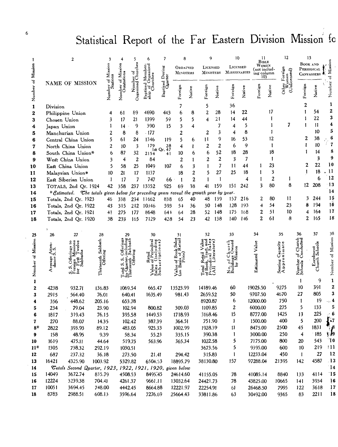# Statistical Report of the Far Eastern Division Mission fo

|                   | 2                          |                                                                                                                 |                        |              |                        |                | 6                | 7                          | 8                            |                | 9                 |                | 10                |                                    | П<br>Bible         |                                            | 12                 | 13                                   |                  |                                   |
|-------------------|----------------------------|-----------------------------------------------------------------------------------------------------------------|------------------------|--------------|------------------------|----------------|------------------|----------------------------|------------------------------|----------------|-------------------|----------------|-------------------|------------------------------------|--------------------|--------------------------------------------|--------------------|--------------------------------------|------------------|-----------------------------------|
|                   | NAME OF MISSION            |                                                                                                                 | Mission                |              | Mission<br>Outstations |                |                  | Baptized During<br>Quarter | ORDAINED<br><b>MINISTERS</b> |                | LICENSED          |                |                   | LICENSED<br>MINISTERS MISSIONARIES |                    | Women<br>(not includ-<br>ing column<br>10) |                    | BOOK AND<br>PERIODICAL<br>CANVASSERS |                  | Missic<br>병                       |
| Number of Mission |                            |                                                                                                                 |                        | Number       | Number of              | Organized      |                  |                            | Foreign                      | Native         | Foreign           | Native         | Foreign           | Native                             | Foreign            | Native                                     |                    | Foreign                              | Native           | Number                            |
| 1                 | Division                   |                                                                                                                 |                        |              |                        |                |                  |                            | 7                            |                | 5                 |                | 36                |                                    |                    |                                            |                    | 2                                    |                  | 1                                 |
| 2                 |                            | Philippine Union                                                                                                |                        | 4            | 61                     | 89             | 4690             | 443                        | 6                            | 8              | $\overline{2}$    | 28             | 14                | 22                                 |                    | 17                                         |                    | 1                                    | 54               | $\boldsymbol{2}$                  |
| 3                 | Chosen Union               |                                                                                                                 |                        | 3            | 17                     | 21             | 1399             | 59                         | 5                            | 5              | 4                 | 21             | 14                | 44                                 |                    | 1                                          |                    |                                      | 22               | 3                                 |
| 4                 | Japan Union                |                                                                                                                 |                        |              | $\overline{14}$        | 9              | 390              | 15                         | 3                            | 4              |                   | 7              | 4                 | 5                                  |                    | 1                                          | 7                  | 1                                    | 11               | 4                                 |
| 5                 |                            | Manchurian Union                                                                                                |                        | 2            | 8                      | 8              | .177             |                            | 2                            |                | 2                 | 3              | 4                 | 8                                  |                    | 1                                          |                    |                                      | 10               | 5                                 |
| 6                 | Central China Union        |                                                                                                                 |                        | 5            | 61                     | 24             | 1346             | 119                        | 5                            | 6              | 11                | 9              | 16                | 53                                 |                    | 12                                         |                    | 2                                    | 38               | 6                                 |
| 7                 |                            | North China Union                                                                                               |                        | 2            | 10                     | 3              | 179              | 9 28<br>lst Qr. 47         | 4                            | 1              | 2                 | $\overline{c}$ | 6                 | 9                                  |                    | 1                                          |                    | 1                                    | 10               | $\overline{7}$                    |
| 8                 |                            | South China Union*                                                                                              |                        | 6            | 87                     | 32             | 2154             | 41                         | 10                           | 6              | 6                 | 52             | 18                | 28                                 |                    | 18                                         |                    |                                      | 14               | 8<br>9                            |
| 9                 |                            | West China Union                                                                                                |                        | 3            | 4                      | $\overline{2}$ | 84               |                            | 2                            | 1              | 2                 | 2              | 3                 | 7                                  |                    | Ţ                                          |                    |                                      | 3<br>22          | 10                                |
| 10                |                            | East China Union                                                                                                |                        | 5            | 58                     | 25             | 1049             | 107                        | 6                            | 3              |                   | 7              | $\mathbf{11}$     | 44                                 | Ŧ                  | 23                                         |                    | 2<br>1                               | 18               | .11                               |
| 11                |                            | Malaysian Union*                                                                                                |                        | 10           | 21                     | 17             | 1137             |                            | 18                           | 2              | 5                 | 27<br>1        | 25                | 18<br>4                            | 1<br>$\mathbf{1}$  | 3<br>2                                     | 1                  |                                      | 6                | 12                                |
| 12                |                            | East Siberian Union                                                                                             |                        | $\mathbf{1}$ | 17                     | 7              | 747              | 66                         | $\mathbf{I}$                 | $\overline{2}$ | 1                 | 159            | 151               | 242                                | 3                  | 80                                         | 8                  |                                      | 12 208           | $\cdot$ 13                        |
| 13                |                            | TOTALS, 2nd Qr. 1924<br>* Estimated. The totals given below for preceding years reveal the growth year by year. |                        | 42           | 358                    |                | 237 13352        | 925                        | 69                           | 38             | 41                |                |                   |                                    |                    |                                            |                    |                                      |                  | $\overline{14}$                   |
| 14<br>15          |                            | Totals, 2nd Qr. 1923                                                                                            |                        | 46           | 338                    | 234            | 11662            | 838                        | 65                           | 40             | 48                | 139            | 157               | 216                                | 2                  | 80                                         | 11                 | 3                                    | 244              | 15                                |
| 16                |                            | Totals, 2nd Qr. 1922                                                                                            |                        | 43           | 315                    | 212            | 10346            | 593                        | 54                           | 36             | 50                | 148            | 128               | 193                                | 4                  | 54                                         | 23                 | я                                    | 194              | 16                                |
| 17                |                            | Totals, 2nd Qr. 1921                                                                                            |                        | 4!           | 275                    | 177            | 8648             | 641                        | 64                           | 28             | 52                | 148            | 175               | 168                                | 2                  | 51                                         | 10                 |                                      | 164              | 17                                |
| 18                |                            | Totals, 2nd Qr. 1920                                                                                            |                        | 38           | 233                    | 165            | 7129             | 428                        | 54                           | 23             | 42                | 138            | 140               | 146                                | $\overline{2}$     | 61                                         | 8                  | 2                                    | 165              | 18                                |
|                   |                            |                                                                                                                 |                        |              |                        |                |                  |                            |                              |                |                   |                |                   |                                    |                    |                                            |                    |                                      |                  |                                   |
| 25                | 26                         | 27                                                                                                              | 28                     |              | 29                     |                | 30               |                            | 31                           |                | 32                |                | 33                |                                    | 34                 |                                            | 35                 | 36                                   | 37               | 38                                |
|                   |                            |                                                                                                                 |                        |              |                        |                |                  |                            |                              |                |                   |                |                   |                                    |                    |                                            |                    |                                      |                  |                                   |
| Number of Mission | tes<br>S                   |                                                                                                                 | Sabbath                |              |                        |                |                  |                            |                              |                |                   |                |                   |                                    | Estimated Value    |                                            | Capacity<br>ximate |                                      | Iment<br>Schools | Number of Mission                 |
|                   | $\tilde{\mathcal{L}}_{ij}$ |                                                                                                                 |                        |              |                        |                |                  |                            |                              |                |                   |                |                   |                                    |                    |                                            |                    | .onduct                              |                  |                                   |
|                   | Average<br>dance:          |                                                                                                                 | Thirteenth:<br>Offerin |              |                        |                |                  |                            |                              |                |                   |                |                   |                                    |                    |                                            | pro                |                                      | Enrol<br>Church  |                                   |
|                   |                            |                                                                                                                 |                        |              |                        |                |                  |                            | Value                        |                |                   |                |                   |                                    |                    |                                            | Seating<br>Appro   | Number<br>Schools                    |                  |                                   |
|                   |                            |                                                                                                                 |                        |              |                        |                |                  |                            | $\tilde{5}$                  |                |                   |                |                   |                                    |                    |                                            |                    |                                      |                  |                                   |
| 1                 |                            |                                                                                                                 |                        |              |                        |                |                  |                            |                              |                |                   |                |                   |                                    |                    |                                            |                    |                                      | 9                | $\mathbf 1$                       |
| 2                 | 4238                       | 932.71                                                                                                          | 136.83                 |              | 1069.54                |                | 665.47           |                            | 13523.99                     |                | 14189.46          |                | 60                |                                    | 19025.50           |                                            | 9275               | 10                                   | 391              | 2                                 |
| 3                 | 2915                       | 564.40                                                                                                          | 76.01                  |              | 640.41                 |                | 1635.49          |                            | 981.43                       |                | 2659.52           |                | 50                |                                    | 9707.50            |                                            | 4670               | 27                                   | 805              | 3                                 |
| 4                 | 356                        | 448.62                                                                                                          | 205.16                 |              |                        | 653.78         |                  |                            |                              |                | 8920.87           |                | 6                 |                                    | 12000.00           |                                            | 750                | 1                                    | 19               | $\sim$ 4                          |
| 5                 | 234                        | 79.04                                                                                                           | 23.90                  |              |                        | 102.94         | 800.82           |                            | 309.03                       |                | 1109.85           |                | 2                 |                                    | 6000.00            |                                            | 275                | 5                                    | 133              | 5                                 |
| 6                 | 1817                       | 319.43                                                                                                          | 76.15                  |              |                        | 395.58         | 1449.53          |                            | 1718.93                      |                | 3168.46           |                | 15                |                                    | 8777.00            |                                            | 1425               | 13                                   | 225              | $-6$<br>่∦ั∗7                     |
| 7                 | 270                        | 88.07                                                                                                           | 14.35                  |              |                        | 102.42         | 387.39           |                            | 364.51                       |                | 751.90            |                | 1                 |                                    | 1500.00            |                                            | 400                | 5                                    | 200              |                                   |
| 8*                | 2822                       | 393.93                                                                                                          | 89.12                  |              |                        | 483.05         | 925.33           |                            | 1002.99                      |                | 1928.39           |                | 11                |                                    | 8475.00            |                                            | 2500               | 45                                   | 1831             |                                   |
| 9                 | 158                        | 48.95                                                                                                           | 9.39                   |              |                        | 58.34          | 55.23            |                            | 335.15                       |                | 390.38            |                | 1                 |                                    | 3000.00            |                                            | 250                | 4                                    | 185<br>543       | ् १९<br>$\mathbf{I}^{\mathbf{0}}$ |
| 10                | 1619                       | 475.11                                                                                                          | 44.64                  |              |                        | 519.75         | 563.96           |                            | 365.34                       |                | 1022.58           |                | 5                 |                                    | 7175.00<br>9395.00 |                                            | 800                | 20<br>10                             | 219              | $^{\dagger}$                      |
| $11*$             | 1305<br>687                | 738.32                                                                                                          | 292.19                 |              | 1030.51                |                |                  |                            |                              |                | 3673.56<br>315.83 |                | 5<br>$\mathbf{1}$ |                                    | 12233.04           |                                            | 600<br>450         | 1                                    | 27               | $\mathbf{12}$                     |
| 12<br>13          | 16421                      | 237.32<br>4325.90                                                                                               | 36.18<br>1003.92       |              | 5329.82                | 273.50         | 21.41<br>6504.53 |                            | 294.42<br>18895.79           |                | 38130.80          |                | 157               |                                    | 97288.04           |                                            | 21395              | 142                                  | 4587             | 13                                |
| 14                |                            | Totals Second Quarter, 1923, 1922, 1921, 1920, given below                                                      |                        |              |                        |                |                  |                            |                              |                |                   |                |                   |                                    |                    |                                            |                    |                                      |                  | $\overline{14}$                   |
| 15                | 14049                      | 3672.74                                                                                                         | 835.79                 |              | 4508.53                |                | 8495.45          |                            | 24614.60                     |                | 41155.05          |                | 78                |                                    | 41085.14           |                                            | 8840               | 133                                  | 4114             | $^{\circ}15$                      |
| 16                | 12224                      | 3239.38                                                                                                         | 704.41                 |              | 4261.37                |                | 9661.11          |                            | 13032.64                     |                | 24421.73          |                | 78                |                                    | 43825.00           |                                            | 10665              | 141                                  | 3934             | 16                                |
| 17                | 10051                      | 3694.45                                                                                                         | 748.00                 |              | 4442.45                |                | 8664.88          |                            | 12221.97                     |                | 22254.91          |                | 61                |                                    | 26468.50           |                                            | 7995               | 122                                  | 3618             | 17                                |
| 18                | 8783                       | 2988.51                                                                                                         | 608.13                 |              | 3596.64                |                | 7276.69          |                            | 25664.43                     |                | 33811.86          |                | 63                |                                    | 30492.00           |                                            | 9365               | 83                                   | 2211             | 18                                |

 $\bar{z}$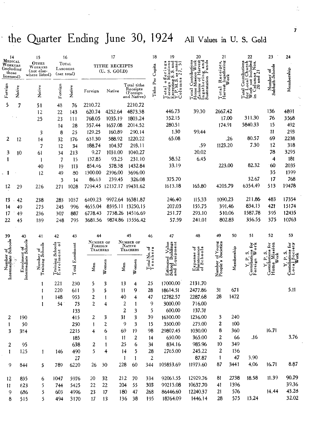# the Quarter Ending June 30, 1924 All Values in U. S. Gold

|                                                 |                                      | 15                             | 16                                                         |                        |                                  | 17                        |                 |                                                    | 18                                                | 19                                                                     | 20                                                                                                                            | 21                                 |            | 22                                                      | 23                                                                                                                         | 24                                         |  |
|-------------------------------------------------|--------------------------------------|--------------------------------|------------------------------------------------------------|------------------------|----------------------------------|---------------------------|-----------------|----------------------------------------------------|---------------------------------------------------|------------------------------------------------------------------------|-------------------------------------------------------------------------------------------------------------------------------|------------------------------------|------------|---------------------------------------------------------|----------------------------------------------------------------------------------------------------------------------------|--------------------------------------------|--|
| 14<br>MEDICAL<br>WORKERS<br>(including<br>those |                                      | OTHER<br>WORKERS<br>(not else- | $\operatorname{\mathsf{Toral}}$<br>LABORERS<br>(net total) |                        | TITHE RECEIPTS<br>(U.S. GOLD)    |                           |                 |                                                    |                                                   | iong<br>and<br>noted<br>7. 51<br>œ<br>ion<br>fin<br>$\frac{3}{3}$<br>ဟ |                                                                                                                               | Receipts,<br>a Ingathering<br>Work |            | $5\frac{1}{2}$                                          | Number of<br>Sabbath-Schools                                                                                               |                                            |  |
| licensed)                                       |                                      | where listed)                  |                                                            |                        |                                  |                           |                 |                                                    |                                                   | $\frac{3}{4}$<br>σi<br>$\pmb{\upsilon}$<br>$\bullet$                   |                                                                                                                               |                                    |            | not Includ<br>$\frac{1}{20}$ and $\frac{2}{10}$<br>.oca |                                                                                                                            | Membership                                 |  |
| Foreign                                         | Native                               | Native                         | Foreign                                                    | Native                 | Foreign                          | Native                    |                 | Total tithe<br>Receipts<br>(Foreign<br>and Native) | Tithe Per Capita                                  | Columns<br>(2.5.002)<br>oreign<br>$\frac{1}{2}$                        | Total Contributions<br>Home Mission Work<br>Gxclustve of Harvest c<br>In gathering and<br>Ingathering and<br>Sustemation Fund | Total<br>Harvest                   |            | otal<br>$\overleftrightarrow{\mathbf{e}}$               |                                                                                                                            |                                            |  |
| 5                                               | 7                                    | 51                             | 48                                                         | 76                     | 2210.72                          |                           |                 | 2210.72                                            |                                                   |                                                                        |                                                                                                                               |                                    |            |                                                         |                                                                                                                            |                                            |  |
|                                                 |                                      | 12                             | 22                                                         | 143                    | 620.74                           | 4252.64                   |                 | 4873.38                                            |                                                   | 446.73                                                                 | 39.30                                                                                                                         | 2667.42                            |            |                                                         | 136                                                                                                                        | 4891                                       |  |
|                                                 |                                      | 25                             | 23                                                         | 111                    | 768.05                           | 1035.19                   |                 | 1803.24                                            |                                                   | 352.15                                                                 |                                                                                                                               |                                    | 17.00      | 311.30                                                  | 76                                                                                                                         | 3568                                       |  |
|                                                 |                                      |                                | 14                                                         | 28                     | 357.44                           | 1657.08                   |                 | 2014.52                                            |                                                   | 280.51                                                                 |                                                                                                                               | 174.91                             |            | 5840.33                                                 | 15                                                                                                                         | 492                                        |  |
|                                                 |                                      | $\overline{\mathbf{3}}$        | 8                                                          | 25                     | 129.25                           | 160.89                    |                 | 290.14                                             |                                                   | 1.30                                                                   | 99.44                                                                                                                         |                                    |            |                                                         | 11                                                                                                                         | 293                                        |  |
| 2                                               | 12                                   | 14                             | 32                                                         | 176                    | 631.30                           | 588.92                    |                 | 1220.22                                            |                                                   | 65.08                                                                  |                                                                                                                               |                                    | .26        | 80.57                                                   | 69                                                                                                                         | 2238                                       |  |
|                                                 |                                      | 7                              | 12                                                         | 34                     | 188.74                           | 104.37                    |                 | 293.11                                             |                                                   |                                                                        | .59                                                                                                                           | 1123.20                            |            | 7.30                                                    | 12                                                                                                                         | 318                                        |  |
| 3                                               | 10                                   | 61                             | 34                                                         | 213                    | 9.27                             | 1031.00                   |                 | 1040.27                                            |                                                   |                                                                        | 20.02                                                                                                                         |                                    |            |                                                         | 78                                                                                                                         | 3295                                       |  |
|                                                 |                                      | 1                              | 7                                                          | 15                     | 137.85                           | 93.25                     |                 | 231.10                                             |                                                   | 58.52                                                                  | 6.45                                                                                                                          |                                    |            |                                                         | 4                                                                                                                          | 181                                        |  |
|                                                 |                                      | 40                             | 19                                                         | 113                    | 854.46                           | 578.38                    |                 | 1432.84                                            |                                                   | 33.19                                                                  |                                                                                                                               | 223.00                             |            | 82.32                                                   | 60                                                                                                                         | 2035                                       |  |
|                                                 |                                      | 12                             | 49                                                         | 80                     | 1300.00                          | 2396.00                   |                 | 3696.00                                            |                                                   |                                                                        |                                                                                                                               |                                    |            |                                                         | 35                                                                                                                         | 1399                                       |  |
|                                                 |                                      |                                | 3                                                          | 14                     | 86.63                            | 239.45                    |                 | 326.08                                             |                                                   | 375.70                                                                 |                                                                                                                               |                                    |            | 32.67                                                   | 17                                                                                                                         | 768                                        |  |
| 12                                              | 29                                   | 226                            | 271                                                        | 1028                   |                                  | 7294.45 12137.17 19431.62 |                 |                                                    |                                                   | 1613.18                                                                | 165.80                                                                                                                        | 4205.79                            |            | 6354.49                                                 | 513                                                                                                                        | 19478                                      |  |
| 13                                              | 42                                   | 238                            | 283                                                        | 1037                   | 6409.23                          |                           |                 | 9972.64 16381.87                                   |                                                   | 246.40                                                                 | 115.33                                                                                                                        | 1090.23                            |            | 211.86                                                  | 483                                                                                                                        | 17354                                      |  |
| 14                                              | 49                                   | 275                            | 245                                                        | 996                    | 4655.04                          |                           |                 | 8595.11 13250.15                                   |                                                   | 207.03                                                                 | 155.75                                                                                                                        |                                    | 391.46     | 834.13                                                  | 421                                                                                                                        | 15174                                      |  |
| 17                                              | 49                                   | 236                            | 307                                                        | 887                    | 6778.43                          |                           |                 | 7738.26 14516.69                                   |                                                   | 251.77                                                                 | 293.10                                                                                                                        |                                    | 510.06     | 1587.78                                                 | 395                                                                                                                        | 12435                                      |  |
| 22                                              | 45                                   | 189                            | 248                                                        | 795                    | 3681.56                          |                           |                 | 9874.86 13556.42                                   |                                                   | 57.59                                                                  | 241.01                                                                                                                        |                                    | 802.83     | 356.55                                                  | 375                                                                                                                        | 10763                                      |  |
|                                                 |                                      |                                |                                                            |                        |                                  |                           |                 |                                                    |                                                   |                                                                        |                                                                                                                               |                                    |            |                                                         |                                                                                                                            |                                            |  |
| 39                                              | 40                                   | 41                             | 42                                                         | 43                     | 44                               |                           |                 | 45                                                 | 46                                                | 47                                                                     | 48                                                                                                                            | 49                                 | 50         | 51                                                      | 52                                                                                                                         | 53                                         |  |
|                                                 |                                      |                                |                                                            |                        |                                  |                           |                 |                                                    |                                                   |                                                                        |                                                                                                                               |                                    |            |                                                         |                                                                                                                            |                                            |  |
|                                                 |                                      |                                |                                                            |                        | NUMBER OF<br>FOREIGN<br>Teachers |                           |                 | NUMBER OF<br>NATIVE<br>TEACHERS                    |                                                   |                                                                        | ۰                                                                                                                             |                                    |            | š<br><b>Sile</b>                                        |                                                                                                                            |                                            |  |
|                                                 |                                      |                                |                                                            |                        |                                  |                           |                 |                                                    |                                                   |                                                                        |                                                                                                                               |                                    |            | n                                                       |                                                                                                                            |                                            |  |
|                                                 |                                      |                                |                                                            |                        |                                  |                           |                 |                                                    |                                                   |                                                                        |                                                                                                                               | of Young<br>Societies              |            |                                                         |                                                                                                                            |                                            |  |
|                                                 |                                      | Number of<br>Training Schools  | Training Schools<br>Enrolment of                           | <b>Total Enrolment</b> | Men                              | Women                     | Men             | Women                                              | $\frac{T \text{otal No. of}}{T \text{ each erg}}$ |                                                                        | laintenance<br>f Schools<br>$E_{\overline{z}}$                                                                                |                                    | Membership |                                                         |                                                                                                                            | Contributions for<br>Local Society<br>Work |  |
| Number of<br>Intermediate Schools               | Enrolment of<br>Intermediate Schools | 1                              | 221                                                        | 230                    | 5                                | 3                         | 13              | 4                                                  | 25                                                | Estimated Value<br>School Buildings<br>and Equipment<br>17000.00       | 2131.70                                                                                                                       | Number<br>People's                 |            | Contributions 1<br>Foreign Wo                           | $\begin{array}{c} Y, P, S, \\ \text{Continuous for} \\ \text{Home} \hspace{1mm} \text{Mission} \\ \text{Work} \end{array}$ |                                            |  |
|                                                 |                                      |                                | 220                                                        | 611                    | 3                                | 5                         | 11              | 9                                                  | 28                                                | 18614.51                                                               | 2477.86                                                                                                                       | 31                                 | 671        |                                                         |                                                                                                                            | 5.11                                       |  |
|                                                 |                                      |                                | 148                                                        | 953                    | 2                                | $\mathbf{I}$              | 40              | 4                                                  | 47                                                | 12782.57                                                               | 2287.68                                                                                                                       | 28                                 | 1472       |                                                         |                                                                                                                            |                                            |  |
|                                                 |                                      | 1                              | 54                                                         | 73                     | 2                                | 4                         | 2               | 1                                                  | 9                                                 | 3000.00                                                                | 716.00                                                                                                                        |                                    |            |                                                         |                                                                                                                            |                                            |  |
|                                                 |                                      |                                |                                                            | 133                    |                                  |                           | 2               | 3                                                  | 5                                                 | 600.00                                                                 | 137.31                                                                                                                        |                                    |            |                                                         |                                                                                                                            |                                            |  |
| 2                                               | 190                                  |                                |                                                            | 415                    | 2                                | 3                         | 31              | 3                                                  | 39                                                | 16300.00                                                               | 1236.00                                                                                                                       | 3                                  | 240        |                                                         |                                                                                                                            |                                            |  |
| 1                                               | 50                                   |                                |                                                            | 250                    | 1                                | 2                         | 9               | 3                                                  | 15                                                | 3500.00                                                                | 273.00                                                                                                                        | 2                                  | 100        |                                                         |                                                                                                                            |                                            |  |
| 3                                               | 384                                  |                                |                                                            | 2215                   | 4                                | 6                         | 69              | 19                                                 | 98                                                | 29807.45                                                               | 1030.00                                                                                                                       | 8                                  | 360        |                                                         | 16.71                                                                                                                      |                                            |  |
|                                                 |                                      |                                |                                                            | 185                    |                                  | 1                         | $\overline{11}$ | 2                                                  | 14                                                | 650.00                                                                 | 365.00                                                                                                                        | 2                                  | 66         | .16                                                     |                                                                                                                            | 3.76                                       |  |
| $\boldsymbol{2}$                                | 95                                   |                                |                                                            | 638                    | 2                                | 1                         | 25              | 6                                                  | 34                                                | 834.16                                                                 | 985.96                                                                                                                        | 10 <sup>°</sup>                    | 349        |                                                         |                                                                                                                            |                                            |  |
| $\mathbf{I}$                                    | 125                                  | 1                              | 146                                                        | 490                    | 5                                | 4                         | 14              | 5                                                  | 28                                                | 2765.00                                                                | 245.22                                                                                                                        | $\boldsymbol{2}$                   | 136        |                                                         |                                                                                                                            |                                            |  |
|                                                 |                                      |                                |                                                            | 27                     |                                  |                           | $\mathbf{1}$    | $\mathbf{1}$                                       | $\sqrt{2}$                                        |                                                                        | 87.87                                                                                                                         | $\mathbf{1}$                       | 47         | 3.90                                                    |                                                                                                                            |                                            |  |
| 9                                               | 844                                  | 5.                             | 789                                                        | 6220                   | 26                               | 30                        | 228             | 60                                                 | 344                                               | 105853.69                                                              | 11973.60                                                                                                                      | 87                                 | 3441       | 4.06                                                    | 16.71                                                                                                                      | 8.87                                       |  |
| 12                                              | 835                                  | 6                              | 1047                                                       | 5976                   | 20                               | $32 \,$                   | 212             |                                                    | 334                                               | 92063.55                                                               | 12929.76                                                                                                                      | 81                                 | 2738       | 18.58                                                   | 11.39                                                                                                                      | 90.79                                      |  |
| 11                                              | &23                                  | 5                              | 744                                                        | 5425                   | 22                               | 22                        | 204             | 70<br>55                                           | 303                                               | 99213.08                                                               | 10637.70                                                                                                                      | 41                                 | 1396       |                                                         |                                                                                                                            | 39.36                                      |  |
| 9                                               | 636                                  | 5                              | 603                                                        | 4996                   | 23                               | 17                        |                 | 180 47                                             | 268                                               | 86446.60                                                               | 12240.37                                                                                                                      | 21                                 | 576        |                                                         | 14.44                                                                                                                      | 43.28<br>32.02                             |  |

 $\hat{\mathbf{z}}$ 

 $\mathbb{I}$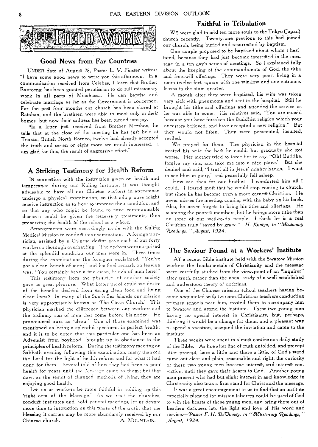

## Good News from Far Countries

UNDER date of August 28, Pastor L. V. Finster writes: "I have some good news to write you this afternoon. In a communication received from Celebes, I learn that Brother Rantoeng has been granted permission to do full missionary work in all parts of Minahassa. He can baptise and celebrate marriage as far as the Government is concerned. For the past four months our church has been closed at Ratahan, and the brethren were able to meet only in their homes, but now their sadness has been turned into joy.

"In a letter just received from Brother Mershon, he tells that at the close of the meeting he has just\_ held at Tuaran, British North Borneo, twelve had already accepted the truth and seven or eight more are much interested. 1 am glad for this, the result of aggressive effort."

# A Striking Testimony for Health Reform

IN connection with the instruction given on health and temperance during our Kuling Institute, it was thought advisable to have all our Chinese workers in attendance undergo a physical examination, so that ailing ones might receive instruction as to how to improve their condition. and so that any who might be found to have communicable diseases could be given the neceasaly treatments, thus preserving the health 6f the school as a whole.

Arrangements were accordingly made with the Kuling Medical Mission to conduct this examination. A foreign physician, assisted by a Chinese doctor gave each of our forty workers a thorough overhauling. The doctors were surprised at the splendid condition our *men were* in, Three times during the examinations the foreigner exclaimed. "You've got a clean bunch of men;" and his final remark on leaving was, "You certainly have a fine clean, banch of men here!"

This testimony from the physician of another society gave us great pleasure. What better picot could we desire of the benefits derived from eating clean food and living clean *lives?* In many *of* the South Sea Islands our mission is very appropriately known as 'The Clean Church.' This physician marked the difference between our workers and the ordinary run of men that come before his notice. He pronounced ours as 'clean.' One of those examined was mentioned as being a splendid specimen, in perfect health; and it is to be noted that this particular one has been an Adventist from boyhood—brought up in obedience to the principles of health reform. During the testimony meeting Sabbath evening following this examination, many thanked the Lord for the light of health reform and for what it had done for them. Several told of how they had been in poor health for years until the Message came to them; but that now, as the result of changed methods of living, they are enjoying good health.

Let us as workers be more faithful in holding up this 'right arm af the Message.' As we visit the churches, conduct institutes and hold general meetings, let us devote more time to instruction on this phase of *the* truth, that the blessing it carries may be more abundantly received by our Chinese church. A. MOUNTAIN.

# Faithful in Tribulation

WE were glad to add ten more souls to the Tokyo (Japan) church recently. Twenty-one previous to this had joined our church, being buried and resurrected by baptism.

One couple proposed to be baptized about whom I hesitated, because they had just become interested in the message in a ten day's series of meetings. So I explained fully about the keeping of the commandments of God, the tithe and free-will offerings. They were very poor, living in a room twelve feet square with one window and one entrance. It was in the slum quarter.

A month after they were baptized, his wife was taken very sick with pneumonia and sent to the hospital. Still he brought his tithe and offerings and attended the service as he was able to come. His relatives said, "You are cursed because you have forsaken the Buddhist religion which your ancestors believed, and have accepted a new religion." But they would not listen. They were persecuted, insulted, reviled.

We prayed for them. The physician in the hospital treated his wife the best he could, but gradually she got worse. Her mother tried to force her to say, "Oh! Buddha, forgive my sins, and take me into a nice place." But she denied and said, "I trust all in Jesus' mighty hands. I want to see Him in glory," and peacefully fell asleep.

How sad then for our brother. I comforted him all I could. I feared most that he would stop coming to church, but since he has become even a more earnest Christian. He never misses the meeting, coming with the baby on his back. Also, he never forgets to bring his tithe and offerings. He is among the poorest members, but he brings more tithe than do some of our well-to-do people. I think he is a real Christian truly "saved by grace."—H. *Kuniya, in "Missionary Readings," August, 1924.* 

# The Saviour Found at a Workers' Institute

AT a recent Bible institute held with the Swatow Mission workers the fundamentals of Christianity and the message were carefully studied from the view-point of an "inquirer" after truth, rather than the usual study of a well established and understood theory of doctrines.

One of the Chinese mission school teachers having become acquainted with two non-Christian teachers conducting primary schools near him, invited them to accompany him to Swatow and attend the institute. These two young men having no special interest in Christianity, but, perhaps, thinking it would be a change for them, and a pleasant way to spend a vacation, accepted the invitation and came to the institute.

Three weeks were spent in almost continuous daily study of the Bible. As line after line of truth unfolded, and precept after precept, here a little and there a little, of God's word came out clear and plain, reasonable and right, the curiosity of these two young men became interest, and interest conviction, until they gave their hearts to God. Another young man present who had but slight interest in and knowledge in Christianity also took a firm stand for Christ and the message.

It was a great encouragement to us to find that an institute especially planned for mission laborers could be used of God to win the hearts of these young men, and bring them out of heathen darkness into the light and love of His word and service.--Pastor F. H. De Uinney, in "Missionary Readings," *.gugust, 1924.*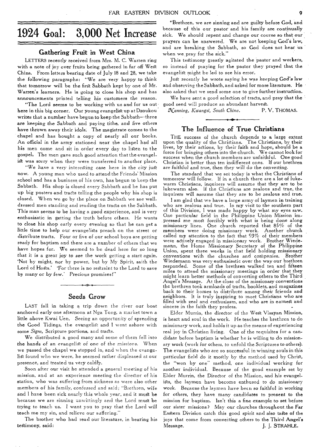# **1924 Goal: 3,000 Net Increase**

## Gathering Fruit in West China

LETTERS recently received from Mrs. M. C. Warren ring with a note of joy over fruits being gathered in far off West China. From letters bearing date of July **18 and** 28, we take the following paragraphs: "We are very happy to think that tomorrow will be the first Sabbath kept by one of Mr. Warren's learners. He is going to close his shop and has announcements printed telling **his** customers the reason.

"The Lord seems to be working with us and for us out. **here in this** big corner. Our young evangelist up at Dzoukou writes that **a number** have begun to keep the Sabbath—three **are** keeping the Sabbath and paying tithe, and five others have thrown away their idols. The magistrate comes to the chapel and has bought a copy of nearly all our books. An official in the army stationed near the chapel had all his men come and sit in order every day to listen to the gospel. The men gave such **good attention** that the evangelist was sorry when **they were transferred** to **another place.** 

"We have a *very* **interesting case** here *in the city* just now. **A** young man **who used to attend the Friends'** Mission school and has a **business of his own, has begun to keep** the Sabbath. His shop **is closed every Sabbath and he has put up** big posters and tracts **telling the people why his shop** is closed. When *we* **go by the place on Sabbath we see** welldressed men **standing and reading the tracts on the** Sabbath. This man *seems* **to be** *having* **a good** *experience,* **and is very enthusiastic in getting the truth before others. He wants to close** his shop **early every evening so that he can get** a **little time to** help our **evangelists** preach **on** *the* **street** or distribute tracts. Four or **five of** our school boys **are getting**  ready for baptism and there are a **number of others that** we have hopes for. We seemed to he **dead here for so long**  that it *is* a great joy to see the work *getting a start again.*  `Not by might, nor by power, but **by My** Spirit, **saith** the **Lord** of Hosts.' 'For there is no restraint to the Lord to save **by** many or by few.' Precious promises!"

#### Seeds Grow

LAST fall in taking a trip down **the river our boat**  anchored early one afternoon **at Nga Tong, a market town a**  little above Kwai Uen. Seeing **an opportunity of spreading the Good** Tidings, the **evangelist and I went ashore with some** *Signs,* Scripture **portions, and tracts.** 

**We** distributed a good **many and some of them fell into the hands of an evangelist** *of* one **of the** *missions.* **When**  we passed the chapel **we stepped in, and when the evangelist** found who **we** were, **he seemed rather displeased at our**  presence, and treated us **very** coldly.

Soon after our visit **he attended a general meeting of** his mission, and at **an experience meeting the director of his**  station, who was **suffering from sickness as were also** other members of *his family, confessed* **and** *said;* "Brethren, wife and **I** have been **sick nearly this whole year, and it** must be because we are sinning **unwittingly and the** Lord must be trying to teach us. I want you to **pray that** the Lord will teach me my sin, and relieve our suffering."

The brother who had read our literature, in bearing his testimony, said:

"Brethren, we are sinning and are guilty before God, and because of this our pastor and his family are continually sick. We should repent and change our course so **that our**  prayers can be answered. We are not keeping God's law, and are breaking the Sabbath, so God does **not hear** us when we pray for the sick."

This testimony greatly agitated the pastor **and workers,**  so instead of piaying for the pastor they prayed that the evangelist might be led to see his error.

Just recently he wrote saying he was keeping **God's law**  and observing **the** Sabbath, and asked for more **literature. He**  also asked **that** we send some one to give **further instruction.** 

We have sent a good selection of tracts, and pray **that the**  good seed will produce an abundant harvest.

*Lanning, Kaangsi, South Chino.* **P.** V. THOMAS.

#### The Influence of True Christians

THE success of the church depends to a large extent upon the quality of the Christians. The Christians, by their lives, by their actions, by their faith and hope, should be a force for bringing others into the church. We cannot look for success when the church members are unfaithful. One good Christian is better than ten indifferent ones. If our **brethren**  are faithful and true, **then** *they* **will** do the converting.

The standard that **we set today** is what the Christians of tomorrow will follow. **If in a** church there are a lot of lukewarm Christians, inquirers **will** assume that they are to be lukewarm also. If the Christians are zealous and true, the inquirers will *assume* that **they are to** be zealous and true.

I am glad that we have **a large** army of laymen in training who are zealous and true. **In my visit** to the southern **part**  of this Division, I was made happy by what my eyes saw. One particular field in the Philippine Union Mission impressed me most forcibly with what *is* being done along missionary lines. One **church** reported that 85% of the members were doing missionary work. Another **church**  called my attention to the fact **that 93%** of their members were actively engaged in missionary work. Brother Wiedemann, the Home Missionary Secretary of **the Philippine Union,** spent three weeks in that field holding missionary conventions with the churches and cornpanies. **Brother**  Wiedemann was very enthusiastic over the way our brethren responded. Some of the brethren walked ten and fifteen miles to attend the missionary meetings in order that they might learn better methods of converting others to the Third Angel's Message. At the close of the missionary conventions the brethren took armloads of tracts, booklets, and magazines back to their homes to distribute among their *friends* **and**  neighbors. It is truly inspiring to meet Christians who are filled with zeal and enthusiasm, and who are in earnest and sincere in the faith they profess.

Elder **Murrin,** the director **of the** West Visayan Mission, is heart **and soul** in the work. **He teaches** the brethren to do missionary **work,** and holds it **up as the** means of experiencing real joy **in Christian living. One of the** requisites for a candidate **before baptism is whether he is willing to** do missionary work **(work for others,** *to* **unfold the Scriptures** to others). The evangelists who are **so successful in winning** souls in this particular field do it mostly **by the method** used by Christ, the "won by one" method, one individual working for another individual. Because of **the good** example set by Elder Murrin, the Director of the Mission, and his evangelists, the laymen have **become** enthused **to** do missionary work. Because the **laymen have** been so faithful in *working*  for others, they have many candidates to present to **the**  mission for baptism. Isn't this a fine example to set before our sister missions? May our churches **throughout the Far**  Eastern Division catch this good spirit and also **taste of the**  joys that come from converting others to **the Third Angel's Message. J.** J. STRAHLE.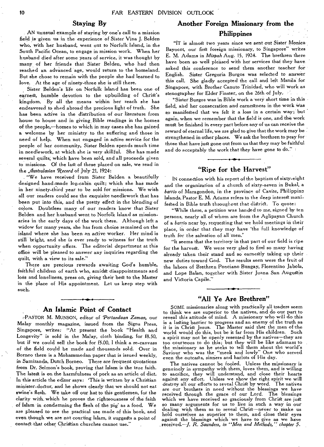## **Staying By**

AN unusual example of staying by one's call to a mission field is given us in the experience of Sister Vina J. Belden who, with her husband, went out to Norfolk Island, in the South Pacific Ocean, to engage in mission work. When her husband died after some years of service, it was thought by many of her friends that Sister Belden, who had then reached an advanced age, would return to the homeland. But she chose to remain with the people she had learned to love. At the age of ninety-three she is still there.

Sister Belden's life on Norfolk Island has been one of earnest, humble devotion to the upbuilding of Christ's kingdom. By all the means within her reach she has endeavored to shed abroad the precious light of truth. She has been active in the distribution of our literature from house to house and in giving- Bible readings in the homes of the people,—homes to which in may cases she has gained a welcome by her ministry to the suffering and those in need of help. When not engaged in active service for the people of her community, Sister Belden spends much time in needlework, at which she is very skillful. She has made several quilts, which have been sold, and all proceeds given to missions. Of the last of these placed on sale, we read in the *Australasian Record* of July 21, 1924:

"We have received from Sister Belden a beautifully designed hand-made log-cabin quilt; which she has made in her ninety-third year to be sold for missions. We wish all our readers could see the exquisite needlework that has been put into this, and the pretty effect in the blending of colors. Doubtless many of our readers know that Sister Belden and her husband went to Norfolk Island as missionaries in the early days of the work there. Although left a widow for many years, she has from choice remained on the island where she has been an active worker. Her mind is still bright, and she is ever ready to witness for the truth when opportunity offers. The editorial department at this office will be pleased to answer any inquiries regarding the quilt, with a view to its sale."

There are precious rewards awaiting God's humble, faithful children of earth who, amidst disappointments and loss and loneliness, press on, giving their best to the Master in the place of His appointment. Let us keep step with such.

## **An Islamic Point of Contact**

:-PASTOR M. MUNSON, editor of *'Pertandaan Zaman,* our Malay monthly magazine, issued from the Signs Press, Singapore, writes: "At present the book "Health and Longevity" is sold- in the Malay, cloth binding, for f8.50, but if we could sell the book for f5.00, I think a re-canvass of the field could be made and thousands sold. Over in Borneo there is a Mohammedan paper that is issued weekly, in Samiranda, Dutch Borneo. There are frequent quotations from Dr. Selmon's book, proving that Islam is the true faith. The latest is on the harmfulness of pork as an article of diet. In this article the editor says: This is written by a Christian minister-doctor, and he shows clearly that we should not eat swine's flesh. We take off our hat to this gentlemen, for the clarity with, which he proves the righteousness of the faith of Islam in condemning the flesh of the pig' as a food. We are pleased to see the practical use made of this book, and even though *we are* not courting Islam, it suggests a point of contadt that other Christian churches cannot use."

# **Another Foreign Missionary from the Philippines**

"IT is almost two years since we sent out Sister Monica Bayocot, our first foreign missionary, to Singapore" writes E. M. Adams in *Mizpah* Aug. 15, 1924. The brethren there have been so well pleased with her services that they have, asked this conference to send them another teacher for English. Sister Gregoria Burgos was selected to answer this call. She gladly accepted the call and left Manila for Singapore, with Brother Canuto Trinidad, who will work as stenographer for Elder Finster, on the 26th of July.

"Sister Burgos was in Bible work a very short time in this field, and her consecration and earnestness in the work was so manifested that we felt it a loss in a certain way; but again, when we remember that the field is one, and the work must be finished in every part before any of us can receive the reward of eternal life, we are glad to give that the work may be strengthened in other places. We ask the brethren to pray for those that have just gone out from us that they may be faithful and do acceptably the work that they have gone to do.''

# **"Ripe for the Harvest"**

1N connection with his report of the baptism of sixty-eight and the organization of a church of sixty-seven in Bukal, a *barrio* of Maragondon, in the province of Cavite, Philippine Islands, Pastor E. M. Adams refers to the deep interest manifested in Bible truth throughout that district. To quote:

"While there, a petition was handed to me, signed by ten persons, nearly all of whom are from the Aglipayan Church of a *barrio* near by, requesting that we hold meetings in their place, in order that they may have 'the full knowledge of truth for the salvation of all men.'

"It seems that the territory in that part of our field is ripe for the harvest. We were very glad to find so many having already taken their stand and so earnestly taking up their new duties toward God. The results seen were the fruit of the labors of Brethren Ponciano Bungay, Florentino Jabola, and Lope Balan, together with Sister Juana San Augustin and Victoria Capile."

#### **"All Ye Are Brethren"**

SOME missionaries along with practically all traders seem to think we are superior to the natives, and do our part to reveal this attitude of mind. A missionary who will do this is a lasting barrier to progress and an enemy of the truth as<br>it is in Christ Jesus. The Master said that the men of the world would do this, but be it far from His children. Such a spirit may not be openly resented by the natives—they are too courteous to do this; but they will be like adamant to the missionary as he seeks to tell them about the world's Saviour who was the "meek and lowly" One who served even the outcasts, sinners and harlots of His day.

The natives cannot be fooled. Unless the missionary is genuinely in sympathy with them, loves them, and is willing to sacrifice, they will understand, and close their hearts against any effort. Unless we show the right spirit we will destroy all our efforts to reveal Christ by word. The natives are our brothers in need without the blessings we have received through the grace of our Lord. The blessings which we have received so graciously from Christ are just so many arguments for us to live in such a way in our dealing with them as to reveal Christ—never to make us hold ourselves as superior to them, and close their eyes against the blessings which we have to give as we have received.—J. *R. Saunders, in "Men and Methods," chapter 5.*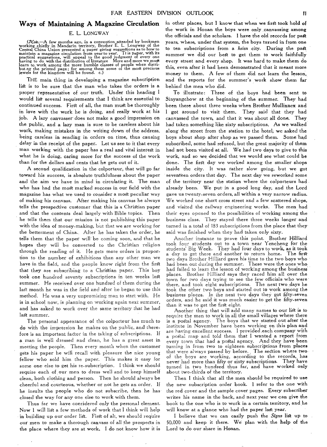#### **Ways of Maintaining A Magazine Circulation**

#### **E. L.** LONGWAY

(Note.—A few months ago, in a convention attended by bookmen<br>working chiefly in Mandarin territory, Brother E. L. Longway of the<br>Central China Union presented a paper giving suggestions as to how to<br>maintain a magazine ci

THE main thing in developing a magazine subscription list is to be sure that the man who takes the orders is a proper representative of our truth. Under this heading I would list several requirements that **I** think are essential to continued success. First of all, the man must be thoroughly in love with the work he is doing, and really work at his job. A lazy canvasser does not make a good impression on the public, and a lazy man is sure to be careless about his work, making mistakes in the writing down of the address, being careless in sending in orders on time, thus causing delay in the receipt of the paper. Let us see to it that every man working with the paper has a real and vital interest in what he is doing, caring more for the success of the work than for **the** dollars and cents that he gets out of it.

A second qualification in the colporteur, that will go far toward his success, is absolute truthfulness about the paper and the aim we have in mind in circulating it. The man who has had the most marked success in our field with the magazine has what we used to consider a most peculiar way of making his canvass. After making his canvass he always tells the prospective customer that this is a Christian paper and that the contents deal largely with Bible topics. Then he tells them that our mission **is not** publishing **this** paper with the idea of money-making, **but that we are working** for the betterment of China.. **After he has taken the order,** he tells them that the paper **will-be coming soon, and that he**  hopes they will be **converted to the Christian religion**  through the reading of it. **He gets more orders in proportion** to the number of **exhibitions than any other man we**  have in the field, and the **people know right from the first**  that they are subscribing **to a Christian paper. This** boy took one hundred **seventy subscriptions in ten weeks last**  summer. He **received over one hundred of them during the**  last month he **was in the field and after he began to use this**  method. **He was a very unpromising man to start with. He**  is in school **now, is planning on working again next summer,**  and has asked to **work over the same territory that he had**  last summer.

The personal **appearance of the colporteur has much** to do with the impression he makes on the public, and therefore is an important factor in the taking of subscriptions. If a man is well dressed **and clean, he has a great** asset in meeting the people. Then **every month when the** customer gets his paper he will recall **with** pleasure **the nice** young fellow who sold him the **paper.** This makes it easy for some one else to get his re-subscription. I think we should require each of our men to dress well and to keep himself clean, both clothing and person. Then he should always be cheerful and courteous, whether or not he gets an order. If he insults the people who do not subscribe, then he hasclosed the way for any one else to work with them.

Thus far we have considered only the personal element. Now **I** will list a few methods of work that I think will help in building up our order list. First of all, we should require our men to make a thorough canvass of all the prospects in the place where they are at work. I do not know how it is

in other places, but I know that when we first-took hold of **the work in Honan the boys were only canvassing among**  the officials and the scholars. I have the old records for past years, **where, under that system, the boys turned in from one to** ten subscriptions from a *hsien* city. **During the past**  summer **we did** our best to get them to **work faithfully**  every street and every shop. It was hard to make **them do this,** even after it had been demonstrated that it **meant more**  money to them. A few of them did not learn **the lesson,**  and the reports for the summer's work show **them far**  behind the men who did.

To illustrate: Three of the boys had **been sent to**  Sinyangchow at the beginning of the **summer. They had**  been there about three weeks when Brother **Mullinnex and <sup>I</sup>**got around to visit them. They said that **they had**  canvassed the town, and that it was about all done. **They**  had taken something like sixty subscriptions. As **we walked**  along the street from the station to the hotel, we asked **the**  boys about shop after shop as we passed them. Some '**had**  subscribed, some had refused, but the great majority of *them*  had not been visited at all. We.had two days to give to this work, and so we decided that we would see what could **be**  done. The first day we worked among the smaller shops inside the city. It was rather slow going, but we got seventeen orders that day. The next day we reworked some of the territory near the station where the **colporteurs had**  already been. We put- in a good long day, and the **Lord**  gave us twenty-seven orders, all within a very narrow radius. **We worked** one short cross street and a few scattered shops, **and visited the railway engineering** works. The men **had their eyes opened to the possibilities of** working among **the business class. They stayed there three** weeks longer **and turned in a total of 183 subscriptions from** the place that **they said was finished when they had taken** only sixty.

**Another instance to prove** this point. Brother Hilliard **took four students out to** a town **near** Yencheng for the **students Big Week. They** had four **days** to work, as it took **a day to get there and** another to **return** home. The first **two days Brother Hilliard** gave his **time** to the two boys **who had been out during the** summer. These were the ones who **had failed to learn the** lesson of working among the **business places. Brother Hilliard** says they raced him all over **the town for two days trying to see** the few officials who were **there, and took eight subscriptions.** The next two days he took **the other two boys and started out** to work among the **business places. In the next two** days they got fifty-seven orders, **and he said it was much** easier to get the fifty-seven **than it was to get the** first eight.

**Another thing** that will add many names to **our** list is **to require the men to** work in all the small villages where there **is a poStal agency.** The boys that we started out **after the institute in November** have been working on this plan **and are having excellent** success. I provided,each company **with a poStal map and told** them that **I** wanted a **report from every town that had** a postal agency. And they have **been turning in from two** to eighteen subscriptions **from places that were always** passed by before. The section **where two of the boys** are working, according to the records, has never **had more** than fifty or sixty subscriptions. **They have**  turned in two hundred thus far, and have **worked only**  about two-thirds of the territory.

Then I think that all the men should be required **to use**  the new subscription order book. I refer to the one **with**  the red cover and the sample cover pages. Every **subscriber**  writes his name in the back, and next year we **can give the**  book to the one who is to work in a certain territory, **and he**  will know at a glance who had the paper last year.

I believe that we can easily **push the** *Signs* **list up to**  50,000 and keep it there. We **plan with the help of the**  Lord to do our share in Honan.